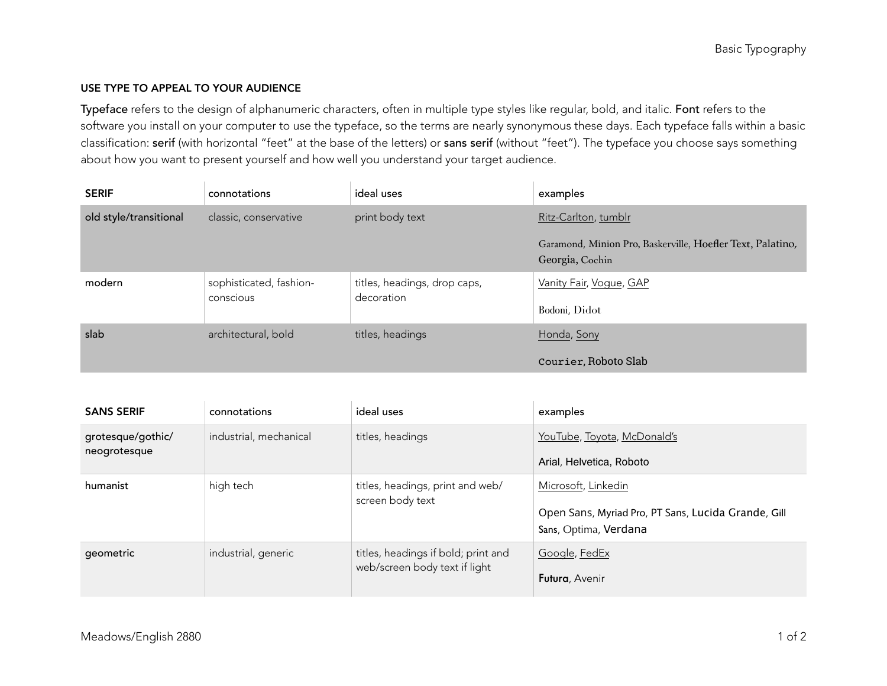## USE TYPE TO APPEAL TO YOUR AUDIENCE

Typeface refers to the design of alphanumeric characters, often in multiple type styles like regular, bold, and italic. Font refers to the software you install on your computer to use the typeface, so the terms are nearly synonymous these days. Each typeface falls within a basic classification: serif (with horizontal "feet" at the base of the letters) or sans serif (without "feet"). The typeface you choose says something about how you want to present yourself and how well you understand your target audience.

| <b>SERIF</b>           | connotations            | ideal uses                                 | examples                                                                      |
|------------------------|-------------------------|--------------------------------------------|-------------------------------------------------------------------------------|
| old style/transitional | classic, conservative   | print body text                            | Ritz-Carlton, tumblr                                                          |
|                        |                         |                                            | Garamond, Minion Pro, Baskerville, Hoefler Text, Palatino,<br>Georgia, Cochin |
| modern                 | sophisticated, fashion- | titles, headings, drop caps,<br>decoration | Vanity Fair, Vogue, GAP                                                       |
|                        | conscious               |                                            | Bodoni, Didot                                                                 |
| slab                   | architectural, bold     | titles, headings                           | Honda, Sony                                                                   |
|                        |                         |                                            | Courier, Roboto Slab                                                          |

| <b>SANS SERIF</b>                 | connotations           | ideal uses                                                           | examples                                                                                            |
|-----------------------------------|------------------------|----------------------------------------------------------------------|-----------------------------------------------------------------------------------------------------|
| grotesque/gothic/<br>neogrotesque | industrial, mechanical | titles, headings                                                     | YouTube, Toyota, McDonald's<br>Arial, Helvetica, Roboto                                             |
| humanist                          | high tech              | titles, headings, print and web/<br>screen body text                 | Microsoft, Linkedin<br>Open Sans, Myriad Pro, PT Sans, Lucida Grande, Gill<br>Sans, Optima, Verdana |
| geometric                         | industrial, generic    | titles, headings if bold; print and<br>web/screen body text if light | Google, FedEx<br>Futura, Avenir                                                                     |